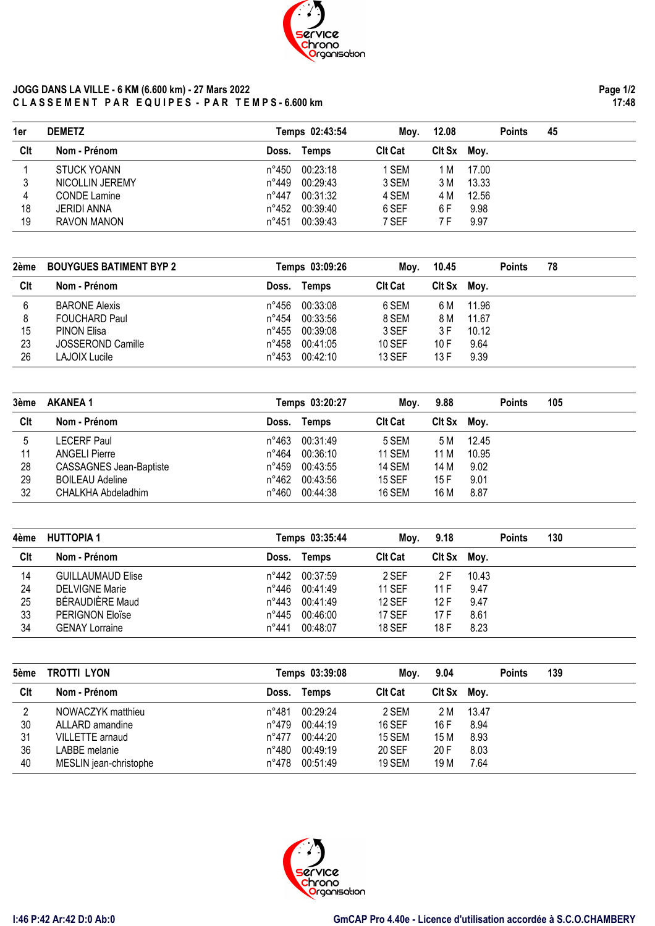

## **JOGG DANS LA VILLE - 6 KM (6.600 km) - 27 Mars 2022 C L A S S E M E N T P A R E Q U I P E S - P A R T E M P S - 6.600 km**

**Page 1/2 17:48**

| 2ème | <b>BOUYGUES BATIMENT BYP 2</b> |                | Temps 03:09:26 | Moy.           | 10.45       |       | <b>Points</b> | 78 |  |
|------|--------------------------------|----------------|----------------|----------------|-------------|-------|---------------|----|--|
| Clt  | Nom - Prénom                   | Doss.          | Temps          | <b>CIt Cat</b> | Cit Sx Moy. |       |               |    |  |
| 6    | <b>BARONE Alexis</b>           | n°456          | 00:33:08       | 6 SEM          | 6 M         | 11.96 |               |    |  |
| 8    | <b>FOUCHARD Paul</b>           | n°454          | 00:33:56       | 8 SEM          | 8 M         | 11.67 |               |    |  |
| 15   | <b>PINON Elisa</b>             | n°455          | 00:39:08       | 3 SEF          | 3 F         | 10.12 |               |    |  |
| 23   | JOSSEROND Camille              | $n^{\circ}458$ | 00:41:05       | <b>10 SEF</b>  | 10 F        | 9.64  |               |    |  |
| 26   | LAJOIX Lucile                  | $n^{\circ}453$ | 00:42:10       | <b>13 SEF</b>  | 13 F        | 9.39  |               |    |  |

4 CONDE Lamine 12.56 18 JERIDI ANNA n°452 00:39:40 6 SEF 6 F 9.98 19 RAVON MANON **n°451 00:39:43** 7 SEF 7 F 9.97

| 3ème | <b>AKANEA 1</b>                |       | Temps 03:20:27 | Moy.           | 9.88        |       | <b>Points</b> | 105 |  |
|------|--------------------------------|-------|----------------|----------------|-------------|-------|---------------|-----|--|
| Clt  | Nom - Prénom                   | Doss. | Temps          | <b>CIt Cat</b> | Cit Sx Moy. |       |               |     |  |
| 5    | LECERF Paul                    | n°463 | 00:31:49       | 5 SEM          | 5 M         | 12.45 |               |     |  |
| 11   | <b>ANGELI Pierre</b>           | n°464 | 00:36:10       | <b>11 SEM</b>  | 11 M        | 10.95 |               |     |  |
| 28   | <b>CASSAGNES Jean-Baptiste</b> | n°459 | 00:43:55       | <b>14 SEM</b>  | 14 M        | 9.02  |               |     |  |
| 29   | <b>BOILEAU Adeline</b>         | n°462 | 00:43:56       | <b>15 SEF</b>  | 15 F        | 9.01  |               |     |  |
| 32   | CHALKHA Abdeladhim             | n°460 | 00:44:38       | <b>16 SEM</b>  | 16 M        | 8.87  |               |     |  |

| 4ème | <b>HUTTOPIA 1</b>        |       | Temps 03:35:44 | Moy.           | 9.18        |       | <b>Points</b> | 130 |  |
|------|--------------------------|-------|----------------|----------------|-------------|-------|---------------|-----|--|
| Clt  | Nom - Prénom             | Doss. | Temps          | <b>CIt Cat</b> | Cit Sx Moy. |       |               |     |  |
| 14   | <b>GUILLAUMAUD Elise</b> | n°442 | 00:37:59       | 2 SEF          | 2 F         | 10.43 |               |     |  |
| 24   | <b>DELVIGNE Marie</b>    | n°446 | 00:41:49       | <b>11 SEF</b>  | 11 F        | 9.47  |               |     |  |
| 25   | BÉRAUDIÈRE Maud          | n°443 | 00:41:49       | <b>12 SEF</b>  | 12 F        | 9.47  |               |     |  |
| 33   | <b>PERIGNON Eloïse</b>   | n°445 | 00:46:00       | <b>17 SEF</b>  | 17 F        | 8.61  |               |     |  |
| 34   | <b>GENAY Lorraine</b>    | n°441 | 00:48:07       | <b>18 SEF</b>  | 18 F        | 8.23  |               |     |  |

| 5ème | TROTTI LYON            |                | Temps 03:39:08 | Mov.           | 9.04   |       | <b>Points</b> | 139 |  |
|------|------------------------|----------------|----------------|----------------|--------|-------|---------------|-----|--|
| Clt  | Nom - Prénom           | Doss.          | Temps          | <b>Clt Cat</b> | CIt Sx | Mov.  |               |     |  |
| 2    | NOWACZYK matthieu      | n°481          | 00:29:24       | 2 SEM          | 2 M    | 13.47 |               |     |  |
| 30   | ALLARD amandine        | n°479          | 00:44:19       | <b>16 SEF</b>  | 16 F   | 8.94  |               |     |  |
| 31   | VILLETTE arnaud        | $n^{\circ}477$ | 00:44:20       | <b>15 SEM</b>  | 15 M   | 8.93  |               |     |  |
| 36   | LABBE melanie          | n°480          | 00:49:19       | 20 SEF         | 20 F   | 8.03  |               |     |  |
| 40   | MESLIN jean-christophe | n°478          | 00:51:49       | <b>19 SEM</b>  | 19 M   | 7.64  |               |     |  |